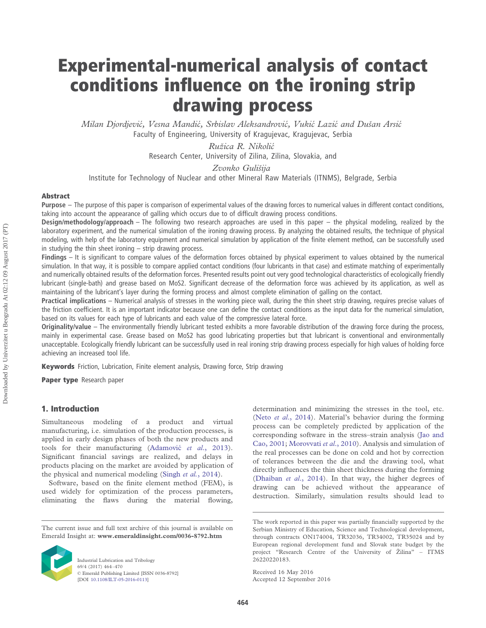# **Experimental-numerical analysis of contact conditions influence on the ironing strip drawing process**

*Milan Djordjevic´, Vesna Mandic´, Srbislav Aleksandrovic´, Vukic´ Lazic´ and Dušan Arsic´* Faculty of Engineering, University of Kragujevac, Kragujevac, Serbia

> *Ružica R. Nikolic´* Research Center, University of Zilina, Zilina, Slovakia, and

*Zvonko Gulišija*

Institute for Technology of Nuclear and other Mineral Raw Materials (ITNMS), Belgrade, Serbia

### **Abstract**

**Purpose** – The purpose of this paper is comparison of experimental values of the drawing forces to numerical values in different contact conditions, taking into account the appearance of galling which occurs due to of difficult drawing process conditions.

**Design/methodology/approach** – The following two research approaches are used in this paper – the physical modeling, realized by the laboratory experiment, and the numerical simulation of the ironing drawing process. By analyzing the obtained results, the technique of physical modeling, with help of the laboratory equipment and numerical simulation by application of the finite element method, can be successfully used in studying the thin sheet ironing – strip drawing process.

**Findings** – It is significant to compare values of the deformation forces obtained by physical experiment to values obtained by the numerical simulation. In that way, it is possible to compare applied contact conditions (four lubricants in that case) and estimate matching of experimentally and numerically obtained results of the deformation forces. Presented results point out very good technological characteristics of ecologically friendly lubricant (single-bath) and grease based on MoS2. Significant decrease of the deformation force was achieved by its application, as well as maintaining of the lubricant's layer during the forming process and almost complete elimination of galling on the contact.

**Practical implications** – Numerical analysis of stresses in the working piece wall, during the thin sheet strip drawing, requires precise values of the friction coefficient. It is an important indicator because one can define the contact conditions as the input data for the numerical simulation, based on its values for each type of lubricants and each value of the compressive lateral force.

**Originality/value** – The environmentally friendly lubricant tested exhibits a more favorable distribution of the drawing force during the process, mainly in experimental case. Grease based on MoS2 has good lubricating properties but that lubricant is conventional and environmentally unacceptable. Ecologically friendly lubricant can be successfully used in real ironing strip drawing process especially for high values of holding force achieving an increased tool life.

**Keywords** Friction, Lubrication, Finite element analysis, Drawing force, Strip drawing

**Paper type** Research paper

# **1. Introduction**

Simultaneous modeling of a product and virtual manufacturing, i.e. simulation of the production processes, is applied in early design phases of both the new products and tools for their manufacturing (Adamovic´ *et al*., 2013). Significant financial savings are realized, and delays in products placing on the market are avoided by application of the physical and numerical modeling (Singh *et al.*, 2014).

Software, based on the finite element method (FEM), is used widely for optimization of the process parameters, eliminating the flaws during the material flowing,

The current issue and full text archive of this journal is available on Emerald Insight at: **www.emeraldinsight.com/0036-8792.htm**



Industrial Lubrication and Tribology 69/4 (2017) 464 –470 © Emerald Publishing Limited [ISSN 0036-8792] [DOI 10.1108/ILT-05-2016-0113]

determination and minimizing the stresses in the tool, etc. (Neto *et al*., 2014). Material's behavior during the forming process can be completely predicted by application of the corresponding software in the stress–strain analysis (Jao and Cao, 2001; Morovvati *et al*., 2010). Analysis and simulation of the real processes can be done on cold and hot by correction of tolerances between the die and the drawing tool, what directly influences the thin sheet thickness during the forming (Dhaiban *et al*., 2014). In that way, the higher degrees of drawing can be achieved without the appearance of destruction. Similarly, simulation results should lead to

The work reported in this paper was partially financially supported by the Serbian Ministry of Education, Science and Technological development, through contracts ON174004, TR32036, TR34002, TR35024 and by European regional development fund and Slovak state budget by the project "Research Centre of the University of Žilina" – ITMS 26220220183.

Received 16 May 2016 Accepted 12 September 2016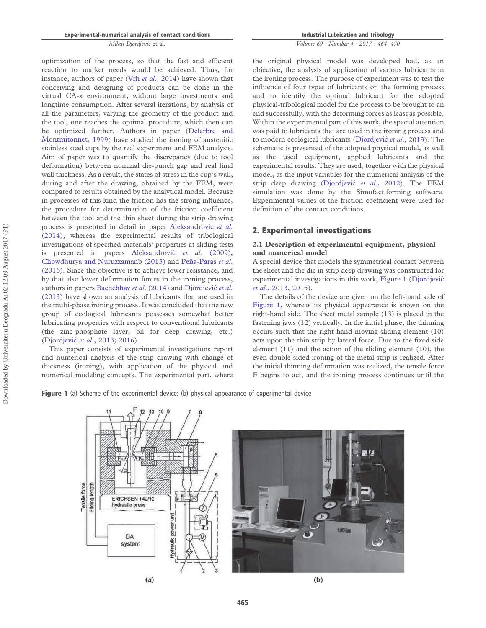optimization of the process, so that the fast and efficient reaction to market needs would be achieved. Thus, for instance, authors of paper (Vrh *et al*., 2014) have shown that conceiving and designing of products can be done in the virtual CA-x environment, without large investments and longtime consumption. After several iterations, by analysis of all the parameters, varying the geometry of the product and the tool, one reaches the optimal procedure, which then can be optimized further. Authors in paper (Delarbre and Montmitonnet, 1999) have studied the ironing of austenitic stainless steel cups by the real experiment and FEM analysis. Aim of paper was to quantify the discrepancy (due to tool deformation) between nominal die-punch gap and real final wall thickness. As a result, the states of stress in the cup's wall, during and after the drawing, obtained by the FEM, were compared to results obtained by the analytical model. Because in processes of this kind the friction has the strong influence, the procedure for determination of the friction coefficient between the tool and the thin sheet during the strip drawing process is presented in detail in paper Aleksandrovic´ *et al*. (2014), whereas the experimental results of tribological investigations of specified materials' properties at sliding tests is presented in papers Aleksandrovic´ *et al*. (2009), Chowdhurya and Nuruzzamanb (2013) and Peña-Parás *et al*. (2016). Since the objective is to achieve lower resistance, and by that also lower deformation forces in the ironing process, authors in papers Bachchhav *et al.* (2014) and Djordjević *et al.* (2013) have shown an analysis of lubricants that are used in the multi-phase ironing process. It was concluded that the new group of ecological lubricants possesses somewhat better lubricating properties with respect to conventional lubricants (the zinc-phosphate layer, oil for deep drawing, etc.) (Djordjevic´ *et al*., 2013; 2016).

This paper consists of experimental investigations report and numerical analysis of the strip drawing with change of thickness (ironing), with application of the physical and numerical modeling concepts. The experimental part, where **Industrial Lubrication and Tribology**

*Volume 69 · Number 4 · 2017 · 464 –470*

the original physical model was developed had, as an objective, the analysis of application of various lubricants in the ironing process. The purpose of experiment was to test the influence of four types of lubricants on the forming process and to identify the optimal lubricant for the adopted physical-tribological model for the process to be brought to an end successfully, with the deforming forces as least as possible. Within the experimental part of this work, the special attention was paid to lubricants that are used in the ironing process and to modern ecological lubricants (Djordjevic´ *et al*., 2013). The schematic is presented of the adopted physical model, as well as the used equipment, applied lubricants and the experimental results. They are used, together with the physical model, as the input variables for the numerical analysis of the strip deep drawing (Djordjevic´ *et al*., 2012). The FEM simulation was done by the Simufact.forming software. Experimental values of the friction coefficient were used for definition of the contact conditions.

# **2. Experimental investigations**

## **2.1 Description of experimental equipment, physical and numerical model**

A special device that models the symmetrical contact between the sheet and the die in strip deep drawing was constructed for experimental investigations in this work, Figure 1 (Djordjevic´ *et al*., 2013, 2015).

The details of the device are given on the left-hand side of Figure 1, whereas its physical appearance is shown on the right-hand side. The sheet metal sample (13) is placed in the fastening jaws (12) vertically. In the initial phase, the thinning occurs such that the right-hand moving sliding element (10) acts upon the thin strip by lateral force. Due to the fixed side element (11) and the action of the sliding element (10), the even double-sided ironing of the metal strip is realized. After the initial thinning deformation was realized, the tensile force F begins to act, and the ironing process continues until the

**Figure 1** (a) Scheme of the experimental device; (b) physical appearance of experimental device

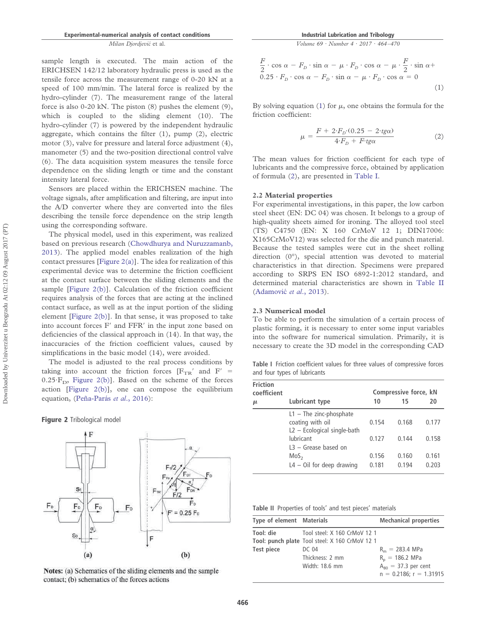sample length is executed. The main action of the ERICHSEN 142/12 laboratory hydraulic press is used as the tensile force across the measurement range of 0-20 kN at a speed of 100 mm/min. The lateral force is realized by the hydro-cylinder (7). The measurement range of the lateral force is also 0-20 kN. The piston (8) pushes the element (9), which is coupled to the sliding element (10). The hydro-cylinder (7) is powered by the independent hydraulic aggregate, which contains the filter (1), pump (2), electric motor (3), valve for pressure and lateral force adjustment (4), manometer (5) and the two-position directional control valve (6). The data acquisition system measures the tensile force dependence on the sliding length or time and the constant intensity lateral force.

Sensors are placed within the ERICHSEN machine. The voltage signals, after amplification and filtering, are input into the A/D converter where they are converted into the files describing the tensile force dependence on the strip length using the corresponding software.

The physical model, used in this experiment, was realized based on previous research (Chowdhurya and Nuruzzamanb, 2013). The applied model enables realization of the high contact pressures [Figure 2(a)]. The idea for realization of this experimental device was to determine the friction coefficient at the contact surface between the sliding elements and the sample [Figure 2(b)]. Calculation of the friction coefficient requires analysis of the forces that are acting at the inclined contact surface, as well as at the input portion of the sliding element [Figure 2(b)]. In that sense, it was proposed to take into account forces F' and FFR' in the input zone based on deficiencies of the classical approach in (14). In that way, the inaccuracies of the friction coefficient values, caused by simplifications in the basic model (14), were avoided.

The model is adjusted to the real process conditions by taking into account the friction forces  $[F_{TR}^{\prime}]$  and  $F^{\prime}$  =  $0.25 \text{·F}_D$ , Figure 2(b)]. Based on the scheme of the forces action [Figure 2(b)], one can compose the equilibrium equation, (Peña-Parás *et al*., 2016):

**Figure 2** Tribological model



Notes: (a) Schematics of the sliding elements and the sample contact; (b) schematics of the forces actions

*Volume 69 · Number 4 · 2017 · 464 –470*

$$
\frac{F}{2} \cdot \cos \alpha - F_D \cdot \sin \alpha - \mu \cdot F_D \cdot \cos \alpha - \mu \cdot \frac{F}{2} \cdot \sin \alpha +
$$
  
0.25  $\cdot F_D \cdot \cos \alpha - F_D \cdot \sin \alpha - \mu \cdot F_D \cdot \cos \alpha = 0$  (1)

By solving equation (1) for  $\mu$ , one obtains the formula for the friction coefficient:

$$
\mu = \frac{F + 2 \cdot F_D \cdot (0.25 - 2 \cdot t g \alpha)}{4 \cdot F_D + F \cdot t g \alpha} \tag{2}
$$

The mean values for friction coefficient for each type of lubricants and the compressive force, obtained by application of formula (2), are presented in Table I.

#### **2.2 Material properties**

For experimental investigations, in this paper, the low carbon steel sheet (EN: DC 04) was chosen. It belongs to a group of high-quality sheets aimed for ironing. The alloyed tool steel (TS) C4750 (EN: X 160 CrMoV 12 1; DIN17006: X165CrMoV12) was selected for the die and punch material. Because the tested samples were cut in the sheet rolling direction (0°), special attention was devoted to material characteristics in that direction. Specimens were prepared according to SRPS EN ISO 6892-1:2012 standard, and determined material characteristics are shown in Table II (Adamovic´ *et al*., 2013).

#### **2.3 Numerical model**

To be able to perform the simulation of a certain process of plastic forming, it is necessary to enter some input variables into the software for numerical simulation. Primarily, it is necessary to create the 3D model in the corresponding CAD

**Table I** Friction coefficient values for three values of compressive forces and four types of lubricants

| <b>Friction</b><br>coefficient |                             | Compressive force, kN |       |       |
|--------------------------------|-----------------------------|-----------------------|-------|-------|
| μ                              | Lubricant type              | 10                    | 15    | 20    |
|                                | $L1$ - The zinc-phosphate   |                       |       |       |
|                                | coating with oil            | 0.154                 | 0.168 | 0.177 |
|                                | L2 - Ecological single-bath |                       |       |       |
|                                | lubricant                   | 0.127                 | 0.144 | 0.158 |
|                                | $L3 -$ Grease based on      |                       |       |       |
|                                | MoS <sub>2</sub>            | 0.156                 | 0.160 | 0.161 |
|                                | $L4 - Oil$ for deep drawing | 0.181                 | 0.194 | 0.203 |

**Table II** Properties of tools' and test pieces' materials

| Type of element Materials |                                                | <b>Mechanical properties</b> |
|---------------------------|------------------------------------------------|------------------------------|
| Tool: die                 | Tool steel: X 160 CrMoV 12 1                   |                              |
|                           | Tool: punch plate Tool steel: X 160 CrMoV 12 1 |                              |
| Test piece                | DC 04                                          | $R_m = 283.4 \text{ MPa}$    |
|                           | Thickness: 2 mm                                | $R_n = 186.2$ MPa            |
|                           | Width: 18.6 mm                                 | $A_{80}$ = 37.3 per cent     |
|                           |                                                | $n = 0.2186$ ; $r = 1.31915$ |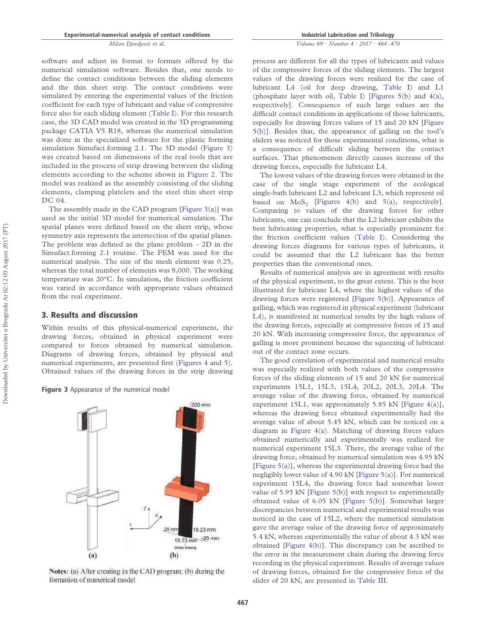software and adjust its format to formats offered by the numerical simulation software. Besides that, one needs to define the contact conditions between the sliding elements and the thin sheet strip. The contact conditions were simulated by entering the experimental values of the friction coefficient for each type of lubricant and value of compressive force also for each sliding element (Table I). For this research case, the 3D CAD model was created in the 3D programming package CATIA V5 R18, whereas the numerical simulation was done in the specialized software for the plastic forming simulation Simufact.forming 2.1. The 3D model (Figure 3) was created based on dimensions of the real tools that are included in the process of strip drawing between the sliding elements according to the scheme shown in Figure 2. The model was realized as the assembly consisting of the sliding elements, clamping platelets and the steel thin sheet strip DC 04.

The assembly made in the CAD program [Figure 3(a)] was used as the initial 3D model for numerical simulation. The spatial planes were defined based on the sheet strip, whose symmetry axis represents the intersection of the spatial planes. The problem was defined as the plane problem  $-$  2D in the Simufact.forming 2.1 routine. The FEM was used for the numerical analysis. The size of the mesh element was 0.25, whereas the total number of elements was 8,000. The working temperature was 20°C. In simulation, the friction coefficient was varied in accordance with appropriate values obtained from the real experiment.

## **3. Results and discussion**

Within results of this physical-numerical experiment, the drawing forces, obtained in physical experiment were compared to forces obtained by numerical simulation. Diagrams of drawing forces, obtained by physical and numerical experiments, are presented first (Figures 4 and 5). Obtained values of the drawing forces in the strip drawing

#### **Figure 3** Appearance of the numerical model



Notes: (a) After creating in the CAD program; (b) during the formation of numerical model

**Industrial Lubrication and Tribology**

## *Volume 69 · Number 4 · 2017 · 464 –470*

process are different for all the types of lubricants and values of the compressive forces of the sliding elements. The largest values of the drawing forces were realized for the case of lubricant L4 (oil for deep drawing, Table I) and L1 (phosphate layer with oil, Table I) [Figures 5(b) and 4(a), respectively]. Consequence of such large values are the difficult contact conditions in applications of those lubricants, especially for drawing forces values of 15 and 20 kN [Figure 5(b)]. Besides that, the appearance of galling on the tool's sliders was noticed for those experimental conditions, what is a consequence of difficult sliding between the contact surfaces. That phenomenon directly causes increase of the drawing forces, especially for lubricant L4.

The lowest values of the drawing forces were obtained in the case of the single stage experiment of the ecological single-bath lubricant L2 and lubricant L3, which represent oil based on  $MoS<sub>2</sub>$  [Figures 4(b) and 5(a), respectively]. Comparing to values of the drawing forces for other lubricants, one can conclude that the L2 lubricant exhibits the best lubricating properties, what is especially prominent for the friction coefficient values (Table I). Considering the drawing forces diagrams for various types of lubricants, it could be assumed that the L2 lubricant has the better properties than the conventional ones.

Results of numerical analysis are in agreement with results of the physical experiment, to the great extent. This is the best illustrated for lubricant L4, where the highest values of the drawing forces were registered [Figure 5(b)]. Appearance of galling, which was registered in physical experiment (lubricant L4), is manifested in numerical results by the high values of the drawing forces, especially at compressive forces of 15 and 20 kN. With increasing compressive force, the appearance of galling is more prominent because the squeezing of lubricant out of the contact zone occurs.

The good correlation of experimental and numerical results was especially realized with both values of the compressive forces of the sliding elements of 15 and 20 kN for numerical experiments 15L1, 15L3, 15L4, 20L2, 20L3, 20L4. The average value of the drawing force, obtained by numerical experiment 15L1, was approximately 5.85 kN [Figure 4(a)], whereas the drawing force obtained experimentally had the average value of about 5.45 kN, which can be noticed on a diagram in Figure 4(a). Matching of drawing forces values obtained numerically and experimentally was realized for numerical experiment 15L3. There, the average value of the drawing force, obtained by numerical simulation was 4.95 kN [Figure 5(a)], whereas the experimental drawing force had the negligibly lower value of 4.90 kN [Figure 5(a)]. For numerical experiment 15L4, the drawing force had somewhat lower value of 5.95 kN [Figure 5(b)] with respect to experimentally obtained value of 6.05 kN [Figure 5(b)]. Somewhat larger discrepancies between numerical and experimental results was noticed in the case of 15L2, where the numerical simulation gave the average value of the drawing force of approximately 5.4 kN, whereas experimentally the value of about 4.3 kN was obtained [Figure 4(b)]. This discrepancy can be ascribed to the error in the measurement chain during the drawing force recording in the physical experiment. Results of average values of drawing forces, obtained for the compressive force of the slider of 20 kN, are presented in Table III.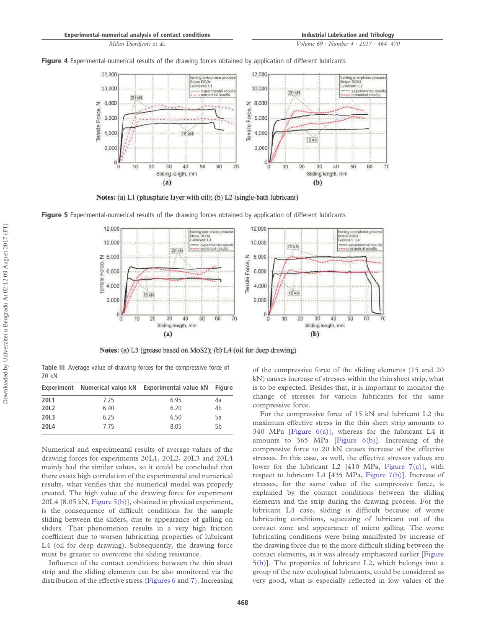*Volume 69 · Number 4 · 2017 · 464 –470*



**Figure 4** Experimental-numerical results of the drawing forces obtained by application of different lubricants

Notes: (a) L1 (phosphate layer with oil); (b) L2 (single-bath lubricant)

**Figure 5** Experimental-numerical results of the drawing forces obtained by application of different lubricants



Notes: (a) L3 (grease based on MoS2); (b) L4 (oil for deep drawing)

**Table III** Average value of drawing forces for the compressive force of 20 kN

|      |      | Experiment Numerical value kN Experimental value kN Figure |                |
|------|------|------------------------------------------------------------|----------------|
| 20L1 | 7.25 | 6.95                                                       | 4a             |
| 20L2 | 6.40 | 6.20                                                       | 4 <sub>b</sub> |
| 20L3 | 6.25 | 6.50                                                       | 5a             |
| 20L4 | 7.75 | 8.05                                                       | 5h             |

Numerical and experimental results of average values of the drawing forces for experiments 20L1, 20L2, 20L3 and 20L4 mainly had the similar values, so it could be concluded that there exists high correlation of the experimental and numerical results, what verifies that the numerical model was properly created. The high value of the drawing force for experiment 20L4 [8.05 kN, Figure 5(b)], obtained in physical experiment, is the consequence of difficult conditions for the sample sliding between the sliders, due to appearance of galling on sliders. That phenomenon results in a very high friction coefficient due to worsen lubricating properties of lubricant L4 (oil for deep drawing). Subsequently, the drawing force must be greater to overcome the sliding resistance.

Influence of the contact conditions between the thin sheet strip and the sliding elements can be also monitored via the distribution of the effective stress (Figures 6 and 7). Increasing of the compressive force of the sliding elements (15 and 20 kN) causes increase of stresses within the thin sheet strip, what is to be expected. Besides that, it is important to monitor the change of stresses for various lubricants for the same compressive force.

For the compressive force of 15 kN and lubricant L2 the maximum effective stress in the thin sheet strip amounts to 340 MPa [Figure 6(a)], whereas for the lubricant L4 it amounts to 365 MPa [Figure 6(b)]. Increasing of the compressive force to 20 kN causes increase of the effective stresses. In this case, as well, the effective stresses values are lower for the lubricant L2 [410 MPa, Figure 7(a)], with respect to lubricant L4 [435 MPa, Figure 7(b)]. Increase of stresses, for the same value of the compressive force, is explained by the contact conditions between the sliding elements and the strip during the drawing process. For the lubricant L4 case, sliding is difficult because of worse lubricating conditions, squeezing of lubricant out of the contact zone and appearance of micro galling. The worse lubricating conditions were being manifested by increase of the drawing force due to the more difficult sliding between the contact elements, as it was already emphasized earlier [Figure 5(b)]. The properties of lubricant L2, which belongs into a group of the new ecological lubricants, could be considered as very good, what is especially reflected in low values of the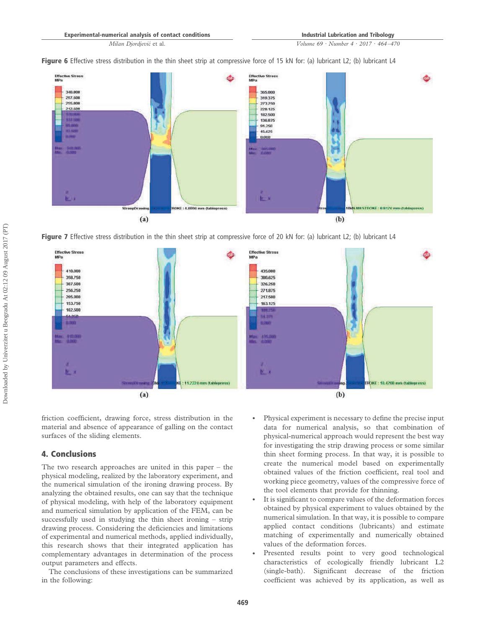*Volume 69 · Number 4 · 2017 · 464 –470*





**Figure 7** Effective stress distribution in the thin sheet strip at compressive force of 20 kN for: (a) lubricant L2; (b) lubricant L4



friction coefficient, drawing force, stress distribution in the material and absence of appearance of galling on the contact surfaces of the sliding elements.

# **4. Conclusions**

The two research approaches are united in this paper – the physical modeling, realized by the laboratory experiment, and the numerical simulation of the ironing drawing process. By analyzing the obtained results, one can say that the technique of physical modeling, with help of the laboratory equipment and numerical simulation by application of the FEM, can be successfully used in studying the thin sheet ironing – strip drawing process. Considering the deficiencies and limitations of experimental and numerical methods, applied individually, this research shows that their integrated application has complementary advantages in determination of the process output parameters and effects.

The conclusions of these investigations can be summarized in the following:

- Physical experiment is necessary to define the precise input data for numerical analysis, so that combination of physical-numerical approach would represent the best way for investigating the strip drawing process or some similar thin sheet forming process. In that way, it is possible to create the numerical model based on experimentally obtained values of the friction coefficient, real tool and working piece geometry, values of the compressive force of the tool elements that provide for thinning.
- It is significant to compare values of the deformation forces obtained by physical experiment to values obtained by the numerical simulation. In that way, it is possible to compare applied contact conditions (lubricants) and estimate matching of experimentally and numerically obtained values of the deformation forces.
- Presented results point to very good technological characteristics of ecologically friendly lubricant L2 (single-bath). Significant decrease of the friction coefficient was achieved by its application, as well as